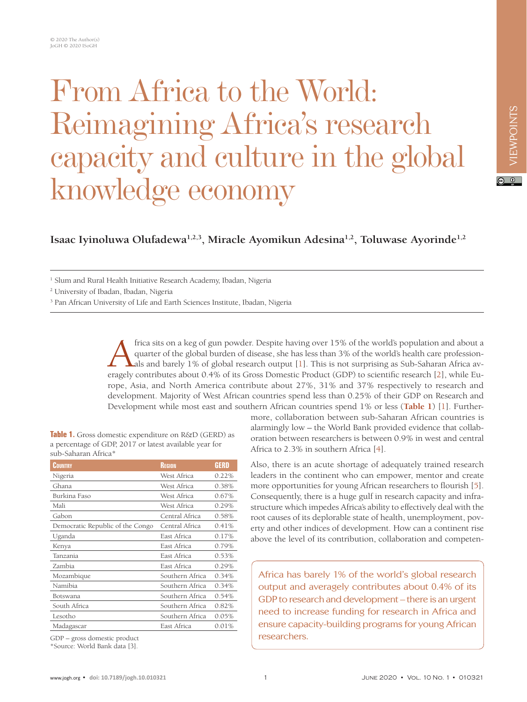## From Africa to the World: Reimagining Africa's research capacity and culture in the global knowledge economy

## **Isaac Iyinoluwa Olufadewa1,2,3, Miracle Ayomikun Adesina1,2, Toluwase Ayorinde1,2**

<sup>1</sup> Slum and Rural Health Initiative Research Academy, Ibadan, Nigeria

2 University of Ibadan, Ibadan, Nigeria

<sup>3</sup> Pan African University of Life and Earth Sciences Institute, Ibadan, Nigeria

frica sits on a keg of gun powder. Despite having over 15% of the world's population and about a<br>quarter of the global burden of disease, she has less than 3% of the world's health care profession-<br>als and barely 1% of glo quarter of the global burden of disease, she has less than 3% of the world's health care professionals and barely 1% of global research output [1]. This is not surprising as Sub-Saharan Africa averagely contributes about 0.4% of its Gross Domestic Product (GDP) to scientific research [[2\]](#page-2-1), while Europe, Asia, and North America contribute about 27%, 31% and 37% respectively to research and development. Majority of West African countries spend less than 0.25% of their GDP on Research and Development while most east and southern African countries spend 1% or less (**[Table 1](#page-0-0)**) [[1\]](#page-2-0). Further-

<span id="page-0-0"></span>**Table 1.** Gross domestic expenditure on R&D (GERD) as a percentage of GDP, 2017 or latest available year for sub-Saharan Africa\*

| Country                          | <b>REGION</b>   | GERD  |
|----------------------------------|-----------------|-------|
| Nigeria                          | West Africa     | 0.22% |
| Ghana                            | West Africa     | 0.38% |
| Burkina Faso                     | West Africa     | 0.67% |
| Mali                             | West Africa     | 0.29% |
| Gabon                            | Central Africa  | 0.58% |
| Democratic Republic of the Congo | Central Africa  | 0.41% |
| Uganda                           | East Africa     | 0.17% |
| Kenya                            | East Africa     | 0.79% |
| Tanzania                         | East Africa     | 0.53% |
| Zambia                           | East Africa     | 0.29% |
| Mozambique                       | Southern Africa | 0.34% |
| Namibia                          | Southern Africa | 0.34% |
| Botswana                         | Southern Africa | 0.54% |
| South Africa                     | Southern Africa | 0.82% |
| Lesotho                          | Southern Africa | 0.05% |
| Madagascar                       | East Africa     | 0.01% |

Also, there is an acute shortage of adequately trained research leaders in the continent who can empower, mentor and create more opportunities for young African researchers to flourish [[5\]](#page-2-3).

Africa to 2.3% in southern Africa [\[4](#page-2-2)].

Consequently, there is a huge gulf in research capacity and infrastructure which impedes Africa's ability to effectively deal with the root causes of its deplorable state of health, unemployment, poverty and other indices of development. How can a continent rise above the level of its contribution, collaboration and competen-

more, collaboration between sub-Saharan African countries is alarmingly low – the World Bank provided evidence that collaboration between researchers is between 0.9% in west and central

Africa has barely 1% of the world's global research output and averagely contributes about 0.4% of its GDP to research and development – there is an urgent need to increase funding for research in Africa and ensure capacity-building programs for young African researchers.

GDP – gross domestic product \*Source: World Bank data [3].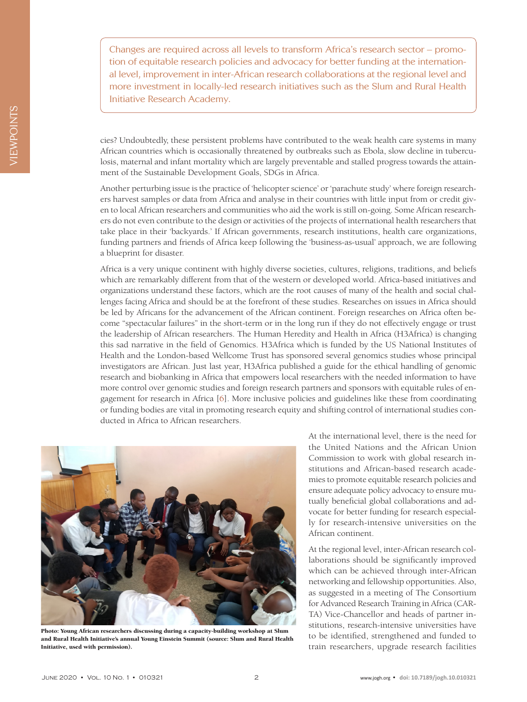Changes are required across all levels to transform Africa's research sector – promotion of equitable research policies and advocacy for better funding at the international level, improvement in inter-African research collaborations at the regional level and more investment in locally-led research initiatives such as the Slum and Rural Health Initiative Research Academy.

cies? Undoubtedly, these persistent problems have contributed to the weak health care systems in many African countries which is occasionally threatened by outbreaks such as Ebola, slow decline in tuberculosis, maternal and infant mortality which are largely preventable and stalled progress towards the attainment of the Sustainable Development Goals, SDGs in Africa.

Another perturbing issue is the practice of 'helicopter science' or 'parachute study' where foreign researchers harvest samples or data from Africa and analyse in their countries with little input from or credit given to local African researchers and communities who aid the work is still on-going. Some African researchers do not even contribute to the design or activities of the projects of international health researchers that take place in their 'backyards.' If African governments, research institutions, health care organizations, funding partners and friends of Africa keep following the 'business-as-usual' approach, we are following a blueprint for disaster.

Africa is a very unique continent with highly diverse societies, cultures, religions, traditions, and beliefs which are remarkably different from that of the western or developed world. Africa-based initiatives and organizations understand these factors, which are the root causes of many of the health and social challenges facing Africa and should be at the forefront of these studies. Researches on issues in Africa should be led by Africans for the advancement of the African continent. Foreign researches on Africa often become "spectacular failures" in the short-term or in the long run if they do not effectively engage or trust the leadership of African researchers. The Human Heredity and Health in Africa (H3Africa) is changing this sad narrative in the field of Genomics. H3Africa which is funded by the US National Institutes of Health and the London-based Wellcome Trust has sponsored several genomics studies whose principal investigators are African. Just last year, H3Africa published a guide for the ethical handling of genomic research and biobanking in Africa that empowers local researchers with the needed information to have more control over genomic studies and foreign research partners and sponsors with equitable rules of engagement for research in Africa [\[6](#page-2-4)]. More inclusive policies and guidelines like these from coordinating or funding bodies are vital in promoting research equity and shifting control of international studies conducted in Africa to African researchers.



Photo: Young African researchers discussing during a capacity-building workshop at Slum and Rural Health Initiative's annual Young Einstein Summit (source: Slum and Rural Health Initiative, used with permission).

At the international level, there is the need for the United Nations and the African Union Commission to work with global research institutions and African-based research academies to promote equitable research policies and ensure adequate policy advocacy to ensure mutually beneficial global collaborations and advocate for better funding for research especially for research-intensive universities on the African continent.

At the regional level, inter-African research collaborations should be significantly improved which can be achieved through inter-African networking and fellowship opportunities. Also, as suggested in a meeting of The Consortium for Advanced Research Training in Africa (CAR-TA) Vice-Chancellor and heads of partner institutions, research-intensive universities have to be identified, strengthened and funded to train researchers, upgrade research facilities